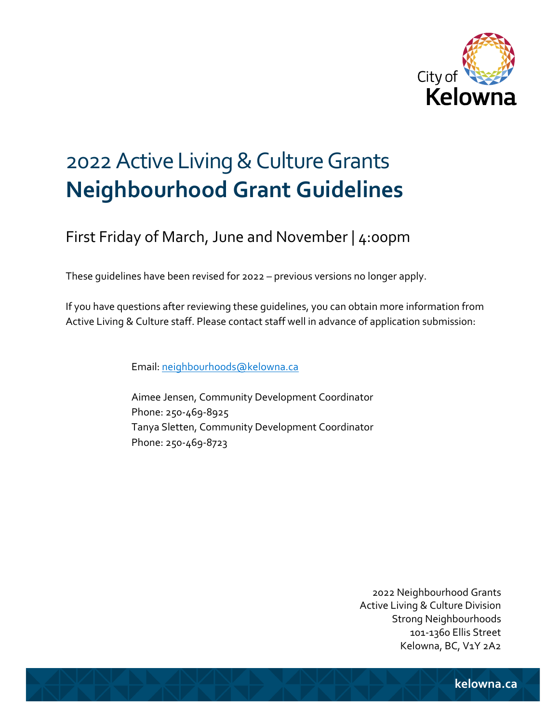

# 2022 Active Living & Culture Grants **Neighbourhood Grant Guidelines**

First Friday of March, June and November | 4:00pm

These guidelines have been revised for 2022 – previous versions no longer apply.

If you have questions after reviewing these guidelines, you can obtain more information from Active Living & Culture staff. Please contact staff well in advance of application submission:

Email[: neighbourhoods@kelowna.ca](mailto:neighbourhoods@kelowna.ca)

Aimee Jensen, Community Development Coordinator Phone: 250-469-8925 Tanya Sletten, Community Development Coordinator Phone: 250-469-8723

> 2022 Neighbourhood Grants Active Living & Culture Division Strong Neighbourhoods 101-1360 Ellis Street Kelowna, BC, V1Y 2A2

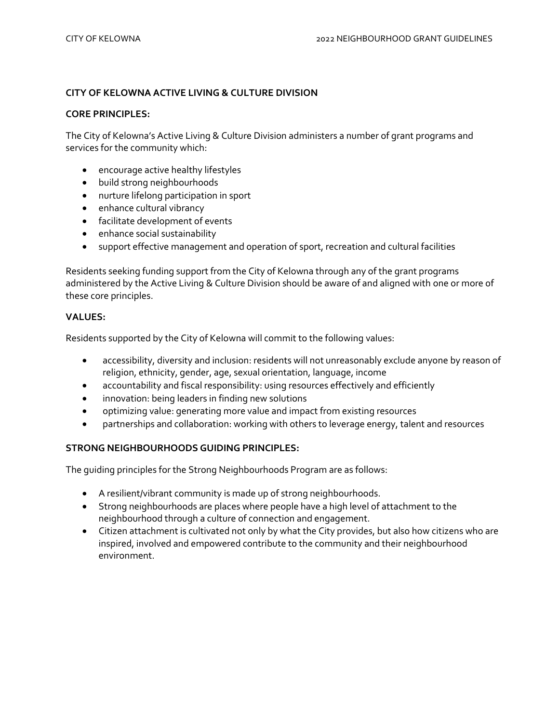## **CITY OF KELOWNA ACTIVE LIVING & CULTURE DIVISION**

#### **CORE PRINCIPLES:**

The City of Kelowna's Active Living & Culture Division administers a number of grant programs and services for the community which:

- encourage active healthy lifestyles
- build strong neighbourhoods
- nurture lifelong participation in sport
- enhance cultural vibrancy
- facilitate development of events
- enhance social sustainability
- support effective management and operation of sport, recreation and cultural facilities

Residents seeking funding support from the City of Kelowna through any of the grant programs administered by the Active Living & Culture Division should be aware of and aligned with one or more of these core principles.

#### **VALUES:**

Residents supported by the City of Kelowna will commit to the following values:

- accessibility, diversity and inclusion: residents will not unreasonably exclude anyone by reason of religion, ethnicity, gender, age, sexual orientation, language, income
- accountability and fiscal responsibility: using resources effectively and efficiently
- innovation: being leaders in finding new solutions
- optimizing value: generating more value and impact from existing resources
- partnerships and collaboration: working with others to leverage energy, talent and resources

#### **STRONG NEIGHBOURHOODS GUIDING PRINCIPLES:**

The guiding principles for the Strong Neighbourhoods Program are as follows:

- A resilient/vibrant community is made up of strong neighbourhoods.
- Strong neighbourhoods are places where people have a high level of attachment to the neighbourhood through a culture of connection and engagement.
- Citizen attachment is cultivated not only by what the City provides, but also how citizens who are inspired, involved and empowered contribute to the community and their neighbourhood environment.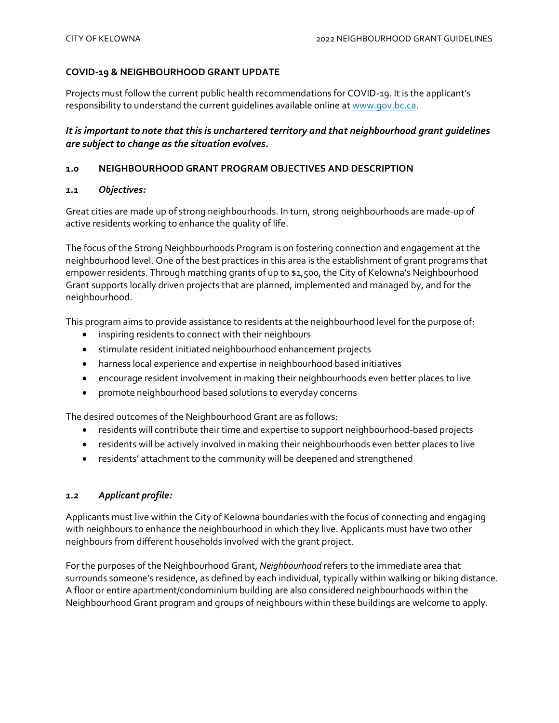## **COVID-19 & NEIGHBOURHOOD GRANT UPDATE**

Projects must follow the current public health recommendations for COVID-19. It is the applicant's responsibility to understand the current guidelines available online at [www.gov.bc.ca.](http://www.gov.bc.ca/)

# *It is important to note that this is unchartered territory and that neighbourhood grant guidelines are subject to change as the situation evolves.*

# **1.0 NEIGHBOURHOOD GRANT PROGRAM OBJECTIVES AND DESCRIPTION**

#### *1.1 Objectives:*

Great cities are made up of strong neighbourhoods. In turn, strong neighbourhoods are made-up of active residents working to enhance the quality of life.

The focus of the Strong Neighbourhoods Program is on fostering connection and engagement at the neighbourhood level. One of the best practices in this area is the establishment of grant programs that empower residents. Through matching grants of up to \$1,500, the City of Kelowna's Neighbourhood Grant supports locally driven projects that are planned, implemented and managed by, and for the neighbourhood.

This program aims to provide assistance to residents at the neighbourhood level for the purpose of:

- inspiring residents to connect with their neighbours
- stimulate resident initiated neighbourhood enhancement projects
- harness local experience and expertise in neighbourhood based initiatives
- encourage resident involvement in making their neighbourhoods even better places to live
- promote neighbourhood based solutions to everyday concerns

The desired outcomes of the Neighbourhood Grant are as follows:

- residents will contribute their time and expertise to support neighbourhood-based projects
- residents will be actively involved in making their neighbourhoods even better places to live
- residents' attachment to the community will be deepened and strengthened

# *1.2 Applicant profile:*

Applicants must live within the City of Kelowna boundaries with the focus of connecting and engaging with neighbours to enhance the neighbourhood in which they live. Applicants must have two other neighbours from different households involved with the grant project.

For the purposes of the Neighbourhood Grant, *Neighbourhood* refers to the immediate area that surrounds someone's residence, as defined by each individual, typically within walking or biking distance. A floor or entire apartment/condominium building are also considered neighbourhoods within the Neighbourhood Grant program and groups of neighbours within these buildings are welcome to apply.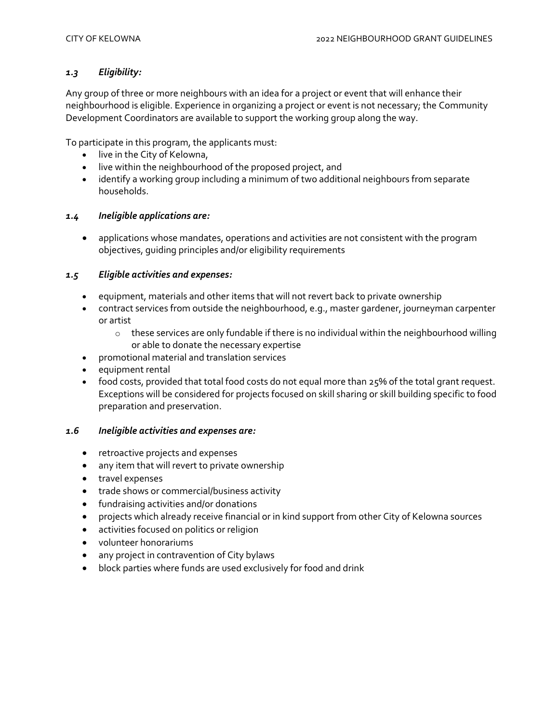# *1.3 Eligibility:*

Any group of three or more neighbours with an idea for a project or event that will enhance their neighbourhood is eligible. Experience in organizing a project or event is not necessary; the Community Development Coordinators are available to support the working group along the way.

To participate in this program, the applicants must:

- live in the City of Kelowna,
- live within the neighbourhood of the proposed project, and
- identify a working group including a minimum of two additional neighbours from separate households.

#### *1.4 Ineligible applications are:*

• applications whose mandates, operations and activities are not consistent with the program objectives, guiding principles and/or eligibility requirements

## *1.5 Eligible activities and expenses:*

- equipment, materials and other items that will not revert back to private ownership
- contract services from outside the neighbourhood, e.g., master gardener, journeyman carpenter or artist
	- $\circ$  these services are only fundable if there is no individual within the neighbourhood willing or able to donate the necessary expertise
- promotional material and translation services
- equipment rental
- food costs, provided that total food costs do not equal more than 25% of the total grant request. Exceptions will be considered for projects focused on skill sharing or skill building specific to food preparation and preservation.

#### *1.6 Ineligible activities and expenses are:*

- retroactive projects and expenses
- any item that will revert to private ownership
- travel expenses
- trade shows or commercial/business activity
- fundraising activities and/or donations
- projects which already receive financial or in kind support from other City of Kelowna sources
- activities focused on politics or religion
- volunteer honorariums
- any project in contravention of City bylaws
- block parties where funds are used exclusively for food and drink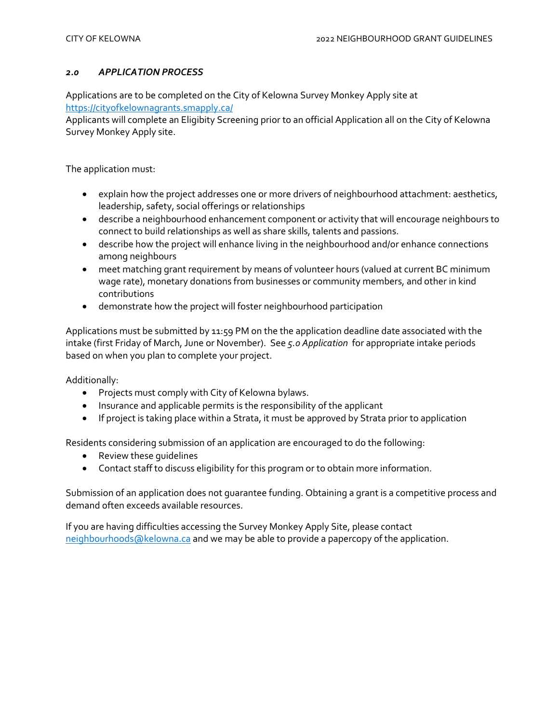## *2.0 APPLICATION PROCESS*

Applications are to be completed on the City of Kelowna Survey Monkey Apply site at <https://cityofkelownagrants.smapply.ca/>

Applicants will complete an Eligibity Screening prior to an official Application all on the City of Kelowna Survey Monkey Apply site.

The application must:

- explain how the project addresses one or more drivers of neighbourhood attachment: aesthetics, leadership, safety, social offerings or relationships
- describe a neighbourhood enhancement component or activity that will encourage neighbours to connect to build relationships as well as share skills, talents and passions.
- describe how the project will enhance living in the neighbourhood and/or enhance connections among neighbours
- meet matching grant requirement by means of volunteer hours (valued at current BC minimum wage rate), monetary donations from businesses or community members, and other in kind contributions
- demonstrate how the project will foster neighbourhood participation

Applications must be submitted by 11:59 PM on the the application deadline date associated with the intake (first Friday of March, June or November). See *5.o Application* for appropriate intake periods based on when you plan to complete your project.

Additionally:

- Projects must comply with City of Kelowna bylaws.
- Insurance and applicable permits is the responsibility of the applicant
- If project is taking place within a Strata, it must be approved by Strata prior to application

Residents considering submission of an application are encouraged to do the following:

- Review these guidelines
- Contact staff to discuss eligibility for this program or to obtain more information.

Submission of an application does not guarantee funding. Obtaining a grant is a competitive process and demand often exceeds available resources.

If you are having difficulties accessing the Survey Monkey Apply Site, please contact [neighbourhoods@kelowna.ca](mailto:neighbourhoods@kelowna.ca) and we may be able to provide a papercopy of the application.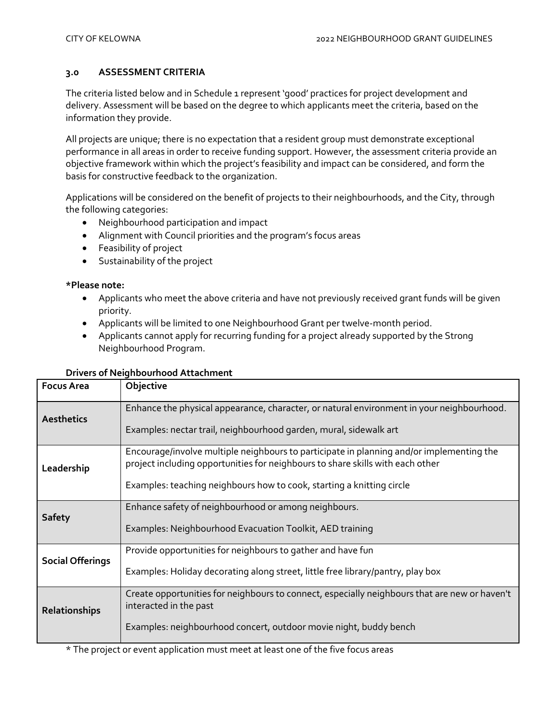## **3.0 ASSESSMENT CRITERIA**

The criteria listed below and in Schedule 1 represent 'good' practices for project development and delivery. Assessment will be based on the degree to which applicants meet the criteria, based on the information they provide.

All projects are unique; there is no expectation that a resident group must demonstrate exceptional performance in all areas in order to receive funding support. However, the assessment criteria provide an objective framework within which the project's feasibility and impact can be considered, and form the basis for constructive feedback to the organization.

Applications will be considered on the benefit of projects to their neighbourhoods, and the City, through the following categories:

- Neighbourhood participation and impact
- Alignment with Council priorities and the program's focus areas
- Feasibility of project
- Sustainability of the project

#### **\*Please note:**

- Applicants who meet the above criteria and have not previously received grant funds will be given priority.
- Applicants will be limited to one Neighbourhood Grant per twelve-month period.
- Applicants cannot apply for recurring funding for a project already supported by the Strong Neighbourhood Program.

#### **Drivers of Neighbourhood Attachment**

| <b>Focus Area</b>       | Objective                                                                                                                                                                  |
|-------------------------|----------------------------------------------------------------------------------------------------------------------------------------------------------------------------|
| <b>Aesthetics</b>       | Enhance the physical appearance, character, or natural environment in your neighbourhood.                                                                                  |
|                         | Examples: nectar trail, neighbourhood garden, mural, sidewalk art                                                                                                          |
| Leadership              | Encourage/involve multiple neighbours to participate in planning and/or implementing the<br>project including opportunities for neighbours to share skills with each other |
|                         | Examples: teaching neighbours how to cook, starting a knitting circle                                                                                                      |
| <b>Safety</b>           | Enhance safety of neighbourhood or among neighbours.                                                                                                                       |
|                         | Examples: Neighbourhood Evacuation Toolkit, AED training                                                                                                                   |
| <b>Social Offerings</b> | Provide opportunities for neighbours to gather and have fun                                                                                                                |
|                         | Examples: Holiday decorating along street, little free library/pantry, play box                                                                                            |
| Relationships           | Create opportunities for neighbours to connect, especially neighbours that are new or haven't<br>interacted in the past                                                    |
|                         | Examples: neighbourhood concert, outdoor movie night, buddy bench                                                                                                          |

\* The project or event application must meet at least one of the five focus areas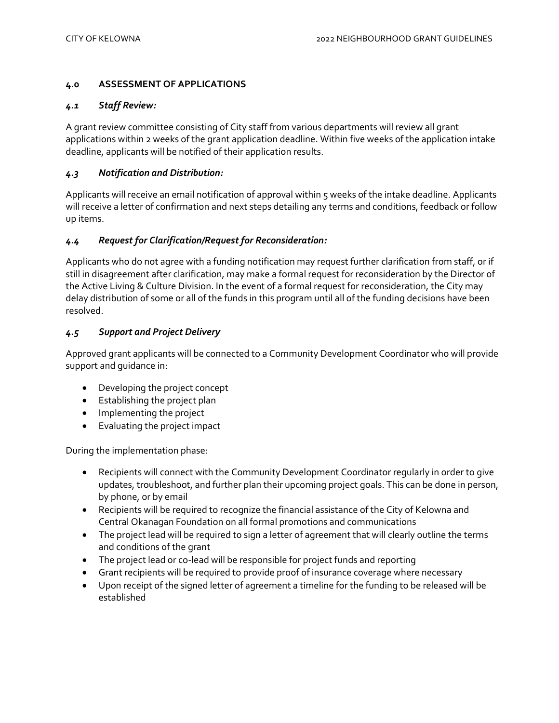## **4.0 ASSESSMENT OF APPLICATIONS**

#### *4.1 Staff Review:*

A grant review committee consisting of City staff from various departments will review all grant applications within 2 weeks of the grant application deadline. Within five weeks of the application intake deadline, applicants will be notified of their application results.

## *4.3 Notification and Distribution:*

Applicants will receive an email notification of approval within 5 weeks of the intake deadline. Applicants will receive a letter of confirmation and next steps detailing any terms and conditions, feedback or follow up items.

## *4.4 Request for Clarification/Request for Reconsideration:*

Applicants who do not agree with a funding notification may request further clarification from staff, or if still in disagreement after clarification, may make a formal request for reconsideration by the Director of the Active Living & Culture Division. In the event of a formal request for reconsideration, the City may delay distribution of some or all of the funds in this program until all of the funding decisions have been resolved.

## *4.5 Support and Project Delivery*

Approved grant applicants will be connected to a Community Development Coordinator who will provide support and guidance in:

- Developing the project concept
- Establishing the project plan
- Implementing the project
- Evaluating the project impact

During the implementation phase:

- Recipients will connect with the Community Development Coordinator regularly in order to give updates, troubleshoot, and further plan their upcoming project goals. This can be done in person, by phone, or by email
- Recipients will be required to recognize the financial assistance of the City of Kelowna and Central Okanagan Foundation on all formal promotions and communications
- The project lead will be required to sign a letter of agreement that will clearly outline the terms and conditions of the grant
- The project lead or co-lead will be responsible for project funds and reporting
- Grant recipients will be required to provide proof of insurance coverage where necessary
- Upon receipt of the signed letter of agreement a timeline for the funding to be released will be established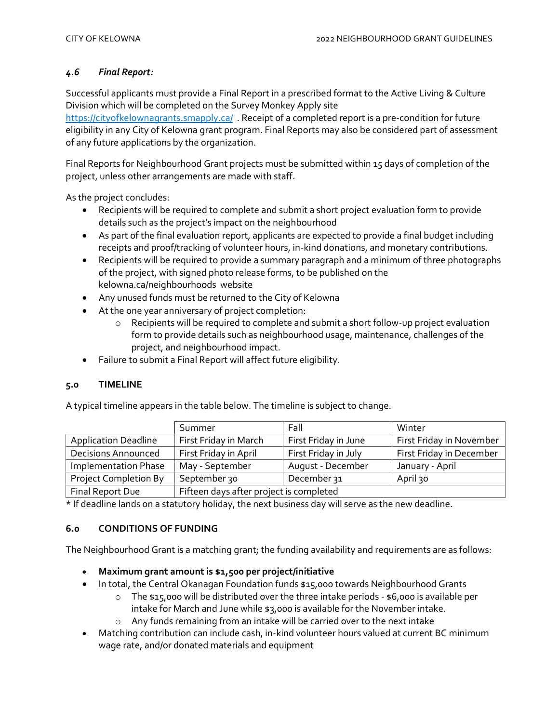# *4.6 Final Report:*

Successful applicants must provide a Final Report in a prescribed format to the Active Living & Culture Division which will be completed on the Survey Monkey Apply site

<https://cityofkelownagrants.smapply.ca/>. Receipt of a completed report is a pre-condition for future eligibility in any City of Kelowna grant program. Final Reports may also be considered part of assessment of any future applications by the organization.

Final Reports for Neighbourhood Grant projects must be submitted within 15 days of completion of the project, unless other arrangements are made with staff.

As the project concludes:

- Recipients will be required to complete and submit a short project evaluation form to provide details such as the project's impact on the neighbourhood
- As part of the final evaluation report, applicants are expected to provide a final budget including receipts and proof/tracking of volunteer hours, in-kind donations, and monetary contributions.
- Recipients will be required to provide a summary paragraph and a minimum of three photographs of the project, with signed photo release forms, to be published on the kelowna.ca/neighbourhoods website
- Any unused funds must be returned to the City of Kelowna
- At the one year anniversary of project completion:
	- o Recipients will be required to complete and submit a short follow-up project evaluation form to provide details such as neighbourhood usage, maintenance, challenges of the project, and neighbourhood impact.
- Failure to submit a Final Report will affect future eligibility.

# **5.0 TIMELINE**

A typical timeline appears in the table below. The timeline is subject to change.

|                             | Summer                                  | Fall                 | Winter                   |
|-----------------------------|-----------------------------------------|----------------------|--------------------------|
| <b>Application Deadline</b> | First Friday in March                   | First Friday in June | First Friday in November |
| <b>Decisions Announced</b>  | First Friday in April                   | First Friday in July | First Friday in December |
| <b>Implementation Phase</b> | May - September                         | August - December    | January - April          |
| Project Completion By       | September 30                            | December 31          | April 30                 |
| Final Report Due            | Fifteen days after project is completed |                      |                          |

\* If deadline lands on a statutory holiday, the next business day will serve as the new deadline.

# **6.0 CONDITIONS OF FUNDING**

The Neighbourhood Grant is a matching grant; the funding availability and requirements are as follows:

- **Maximum grant amount is \$1,500 per project/initiative**
- In total, the Central Okanagan Foundation funds \$15,000 towards Neighbourhood Grants
	- o The \$15,000 will be distributed over the three intake periods \$6,000 is available per intake for March and June while \$3,000 is available for the November intake.
	- o Any funds remaining from an intake will be carried over to the next intake
- Matching contribution can include cash, in-kind volunteer hours valued at current BC minimum wage rate, and/or donated materials and equipment